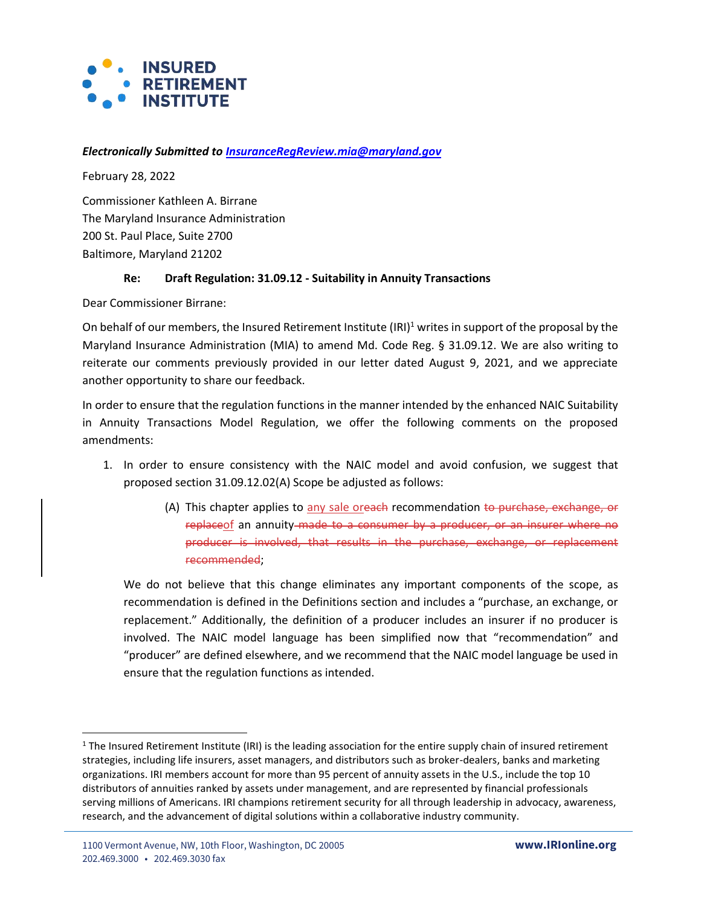

## *Electronically Submitted to [InsuranceRegReview.mia@maryland.gov](mailto:InsuranceRegReview.mia@maryland.gov)*

February 28, 2022

Commissioner Kathleen A. Birrane The Maryland Insurance Administration 200 St. Paul Place, Suite 2700 Baltimore, Maryland 21202

## **Re: Draft Regulation: 31.09.12 - Suitability in Annuity Transactions**

Dear Commissioner Birrane:

On behalf of our members, the Insured Retirement Institute (IRI)<sup>1</sup> writes in support of the proposal by the Maryland Insurance Administration (MIA) to amend Md. Code Reg. § 31.09.12. We are also writing to reiterate our comments previously provided in our letter dated August 9, 2021, and we appreciate another opportunity to share our feedback.

In order to ensure that the regulation functions in the manner intended by the enhanced NAIC Suitability in Annuity Transactions Model Regulation, we offer the following comments on the proposed amendments:

- 1. In order to ensure consistency with the NAIC model and avoid confusion, we suggest that proposed section 31.09.12.02(A) Scope be adjusted as follows:
	- (A) This chapter applies to any sale oreach recommendation to purchase, exchange, or replaceof an annuity made to a consumer by a producer, or an insurer where no producer is involved, that results in the purchase, exchange, or replacement recommended;

We do not believe that this change eliminates any important components of the scope, as recommendation is defined in the Definitions section and includes a "purchase, an exchange, or replacement." Additionally, the definition of a producer includes an insurer if no producer is involved. The NAIC model language has been simplified now that "recommendation" and "producer" are defined elsewhere, and we recommend that the NAIC model language be used in ensure that the regulation functions as intended.

<sup>&</sup>lt;sup>1</sup> The Insured Retirement Institute (IRI) is the leading association for the entire supply chain of insured retirement strategies, including life insurers, asset managers, and distributors such as broker-dealers, banks and marketing organizations. IRI members account for more than 95 percent of annuity assets in the U.S., include the top 10 distributors of annuities ranked by assets under management, and are represented by financial professionals serving millions of Americans. IRI champions retirement security for all through leadership in advocacy, awareness, research, and the advancement of digital solutions within a collaborative industry community.